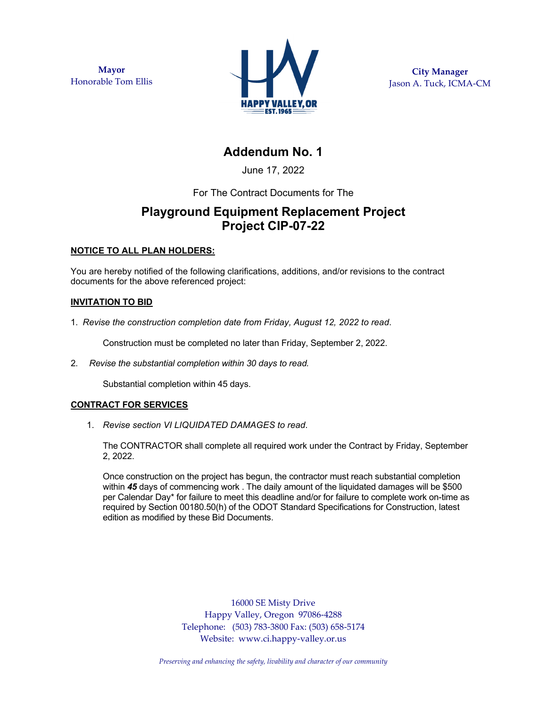**Mayor**  Honorable Tom Ellis



**City Manager**  Jason A. Tuck, ICMA-CM

# **Addendum No. 1**

June 17, 2022

For The Contract Documents for The

## **Playground Equipment Replacement Project Project CIP-07-22**

### **NOTICE TO ALL PLAN HOLDERS:**

You are hereby notified of the following clarifications, additions, and/or revisions to the contract documents for the above referenced project:

### **INVITATION TO BID**

1. *Revise the construction completion date from Friday, August 12, 2022 to read*.

Construction must be completed no later than Friday, September 2, 2022.

2. *Revise the substantial completion within 30 days to read.* 

Substantial completion within 45 days.

### **CONTRACT FOR SERVICES**

1. *Revise section VI LIQUIDATED DAMAGES to read*.

The CONTRACTOR shall complete all required work under the Contract by Friday, September 2, 2022.

Once construction on the project has begun, the contractor must reach substantial completion within **45** days of commencing work . The daily amount of the liquidated damages will be \$500 per Calendar Day\* for failure to meet this deadline and/or for failure to complete work on-time as required by Section 00180.50(h) of the ODOT Standard Specifications for Construction, latest edition as modified by these Bid Documents.

> 16000 SE Misty Drive Happy Valley, Oregon 97086-4288 Telephone: (503) 783-3800 Fax: (503) 658-5174 Website: www.ci.happy-valley.or.us

*Preserving and enhancing the safety, livability and character of our community*